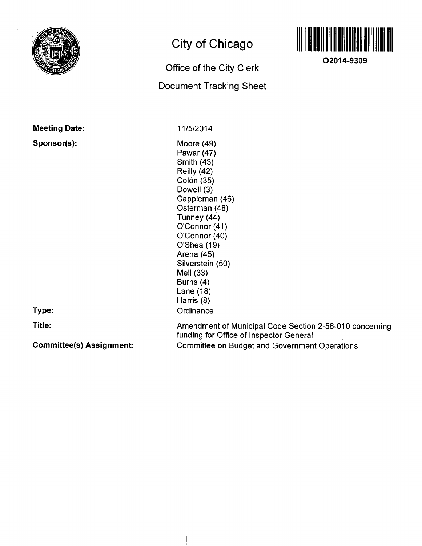

# **City of Chicago**

## **Office of the City Clerk**

## **Document Tracking Sheet**



**O2014-9309** 

**Meeting Date:** 

**Sponsor(s):** 

11/5/2014

Moore (49) Pawar (47) Smith (43) Reilly (42) Colón (35) Dowell (3) Cappleman (46) Osterman (48) Tunney (44) O'Connor (41) O'Connor (40) O'Shea (19) Arena (45) Silverstein (50) Mell (33) Burns (4) Lane (18) Harris (8) **Ordinance** 

**Type:** 

**Title:** 

**Committee(s) Assignment:** 

Amendment of Municipal Code Section 2-56-010 concerning funding for Office of Inspector General Committee on Budget and Government Operations